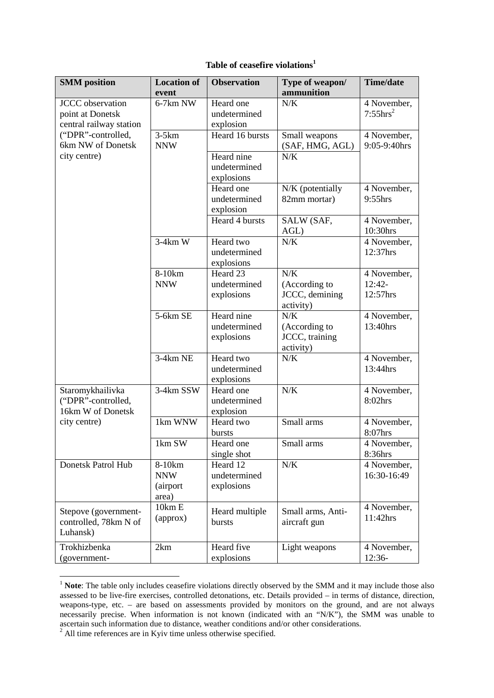|  |  | Table of ceasefire violations <sup>1</sup> |
|--|--|--------------------------------------------|
|--|--|--------------------------------------------|

| <b>SMM</b> position     | <b>Location of</b> | <b>Observation</b> | Type of weapon/   | <b>Time/date</b>         |
|-------------------------|--------------------|--------------------|-------------------|--------------------------|
|                         | event              |                    | ammunition        |                          |
| <b>JCCC</b> observation | 6-7km NW           | Heard one          | N/K               | 4 November,              |
| point at Donetsk        |                    | undetermined       |                   | $7:55hrs^2$              |
| central railway station |                    | explosion          |                   |                          |
| ("DPR"-controlled,      | $3-5km$            | Heard 16 bursts    | Small weapons     | 4 November,              |
| 6km NW of Donetsk       | <b>NNW</b>         |                    | (SAF, HMG, AGL)   | 9:05-9:40hrs             |
| city centre)            |                    | Heard nine         | N/K               |                          |
|                         |                    | undetermined       |                   |                          |
|                         |                    | explosions         |                   |                          |
|                         |                    | Heard one          | N/K (potentially  | 4 November,              |
|                         |                    | undetermined       | 82mm mortar)      | 9:55hrs                  |
|                         |                    | explosion          |                   |                          |
|                         |                    | Heard 4 bursts     | SALW (SAF,        | 4 November,              |
|                         |                    |                    | AGL)              | 10:30hrs                 |
|                         | $3-4km$ W          | Heard two          | N/K               | 4 November,              |
|                         |                    | undetermined       |                   | 12:37hrs                 |
|                         |                    | explosions         |                   |                          |
|                         | 8-10km             | Heard 23           | N/K               | 4 November,              |
|                         | <b>NNW</b>         | undetermined       | (According to     | 12:42-                   |
|                         |                    | explosions         | JCCC, demining    | 12:57hrs                 |
|                         |                    |                    | activity)         |                          |
|                         | 5-6km SE           | Heard nine         | N/K               | 4 November,              |
|                         |                    | undetermined       | (According to     | 13:40hrs                 |
|                         |                    | explosions         | JCCC, training    |                          |
|                         |                    |                    | activity)         |                          |
|                         | $3-4km$ NE         | Heard two          | N/K               | 4 November,              |
|                         |                    | undetermined       |                   | 13:44hrs                 |
|                         |                    | explosions         |                   |                          |
| Staromykhailivka        | 3-4km SSW          | Heard one          | N/K               | 4 November,              |
| ("DPR"-controlled,      |                    | undetermined       |                   | 8:02hrs                  |
| 16km W of Donetsk       |                    | explosion          |                   |                          |
| city centre)            | 1km WNW            | Heard two          | Small arms        | $\overline{4}$ November, |
|                         |                    | bursts             |                   | 8:07hrs                  |
|                         | 1km SW             | Heard one          | Small arms        | 4 November,              |
|                         |                    | single shot        |                   | 8:36hrs                  |
| Donetsk Patrol Hub      | 8-10km             | Heard 12           | $N/K$             | 4 November,              |
|                         | <b>NNW</b>         | undetermined       |                   | 16:30-16:49              |
|                         | (airport           | explosions         |                   |                          |
|                         | area)              |                    |                   |                          |
| Stepove (government-    | 10km E             | Heard multiple     | Small arms, Anti- | 4 November,              |
| controlled, 78km N of   | (approx)           | bursts             | aircraft gun      | 11:42hrs                 |
| Luhansk)                |                    |                    |                   |                          |
|                         |                    |                    |                   |                          |
| Trokhizbenka            | 2km                | Heard five         | Light weapons     | 4 November,              |
| (government-            |                    | explosions         |                   | 12:36-                   |

<sup>&</sup>lt;sup>1</sup> **Note**: The table only includes ceasefire violations directly observed by the SMM and it may include those also assessed to be live-fire exercises, controlled detonations, etc. Details provided – in terms of distance, direction, weapons-type, etc. – are based on assessments provided by monitors on the ground, and are not always necessarily precise. When information is not known (indicated with an "N/K"), the SMM was unable to ascertain such information due to distance, weather conditions and/or other considerations. 2 All time references are in Kyiv time unless otherwise specified.

 $\overline{a}$